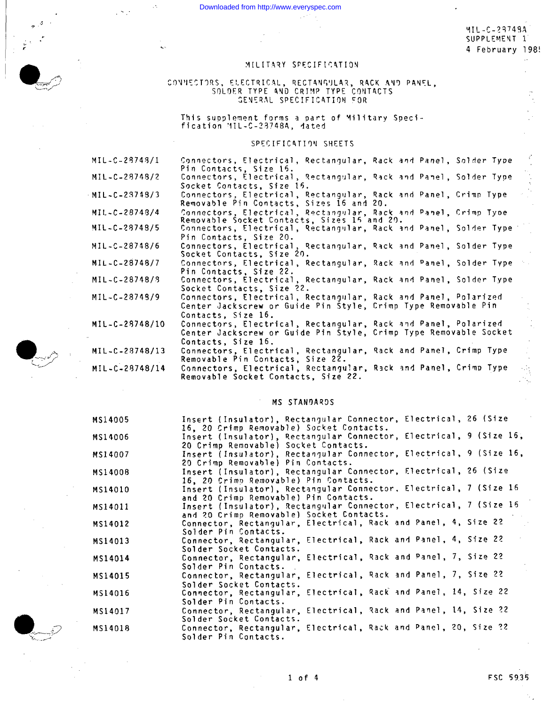Downloaded from http://www.everyspec.com

MIL-C-23748A SUPPLEMENT 1 4 February 198!

### MILITARY SPECIFICATION

## CONNECTORS, ELECTRICAL, RECTANGULAR, RACK AND PANEL, SOLDER TYPE AND CRIMP TYPE CONTACTS GENERAL SPECIFICATION FOR

This supplement forms a part of Military Speci-<br>fication MIL-C-23748A, dated

#### SPECIFICATION SHEETS

MIL-C-28748/1 Connectors, Electrical, Rectangular, Rack and Panel, Solder Type Pin Contacts, Size 16.<br>Connectors, Electrical, Rectangular, Rack and Panel, Solder Type MIL-C-28748/2 Socket Contacts, Size 16. MIL-C-23748/3 Connectors, Electrical, Rectangular, Rack and Panel, Crimp Type Removable Pin Contacts, Sizes 16 and 20. Connectors, Electrical, Rectangular, Rack and Panel, Crimp Type<br>Removable Socket Contacts, Sizes 15 and 20. MIL-C-28748/4 MIL-C-28748/5 Connectors, Electrical, Rectangular, Rack and Panel, Solder Type Pin Contacts, Size 20. MIL-C-28748/6 Connectors, Electrical, Rectangular, Rack and Panel, Solder Type<br>Socket Contacts, Size 20.  $MIL - C - 28748/7$ Connectors, Electrical, Rectangular, Rack and Panel, Solder Type Pin Contacts, Size 22. Connectors, Electrical, Rectangular, Rack and Panel, Solder Type MIL-C-28748/9 Socket Contacts, Size 22. Connectors, Electrical, Rectangular, Rack and Panel, Polarized<br>Center Jackscrew or Guide Pin Style, Crimp Type Removable Pin MIL-C-28749/9 Contacts, Size 16. Connectors, Electrical, Rectangular, Rack and Panel, Polarized MIL-C-28748/10 Center Jackscrew or Guide Pin Style, Crimp Type Removable Socket Contacts, Size 16. MIL-C-28748/13 Connectors, Electrical, Rectangular, Rack and Panel, Crimp Type Removable Pin Contacts, Size 22. Connectors, Electrical, Rectangular, Rack and Panel. Crimp Type MIL-C-28748/14 Removable Socket Contacts, Size 22.

#### MS STANDARDS

| MS14005 | Insert (Insulator), Rectangular Connector, Electrical, 26 (Size<br>16, 20 Crimp Removable) Socket Contacts.        |
|---------|--------------------------------------------------------------------------------------------------------------------|
| MS14006 | Insert (Insulator), Rectangular Connector, Electrical, 9 (Size 16,<br>20 Crimp Removable) Socket Contacts.         |
| MS14007 | Insert (Insulator), Rectangular Connector, Electrical, 9 (Size 16,<br>20 Crimp Removable) Pin Contacts.            |
| MS14008 | Insert (Insulator), Rectangular Connector, Electrical, 26 (Size<br>16, 20 Crimp Removable) Pin Contacts.           |
| MS14010 | Insert (Insulator), Rectangular Connector, Electrical, 7 (Size 16<br>and 20 Crimp Removable) Pin Contacts.         |
| MS14011 | Insert (Insulator), Rectangular Connector, Electrical, 7 (Size 16<br>and 20 Crimp Removable) Socket Contacts.      |
| MS14012 | Connector, Rectangular, Electrical, Rack and Panel, 4, Size 22<br>Solder Pin Contacts.                             |
| MS14013 | Connector, Rectangular, Electrical, Rack and Panel, 4, Size 22<br>Solder Socket Contacts.                          |
| MS14014 | Connector, Rectangular, Electrical, Rack and Panel, 7, Size 22<br>Solder Pin Contacts.                             |
| MS14015 | Connector, Rectangular, Electrical, Rack and Panel, 7, Size 22                                                     |
| MS14016 | Solder Socket Contacts.<br>Connector, Rectangular, Electrical, Rack and Panel, 14, Size 22                         |
| MS14017 | Solder Pin Contacts.<br>Connector, Rectangular, Electrical, Rack and Panel, 14, Size 22                            |
| MS14018 | Solder Socket Contacts.<br>Connector, Rectangular, Electrical, Rack and Panel, 20, Size ?2<br>Solder Pin Contacts. |



FSC 5935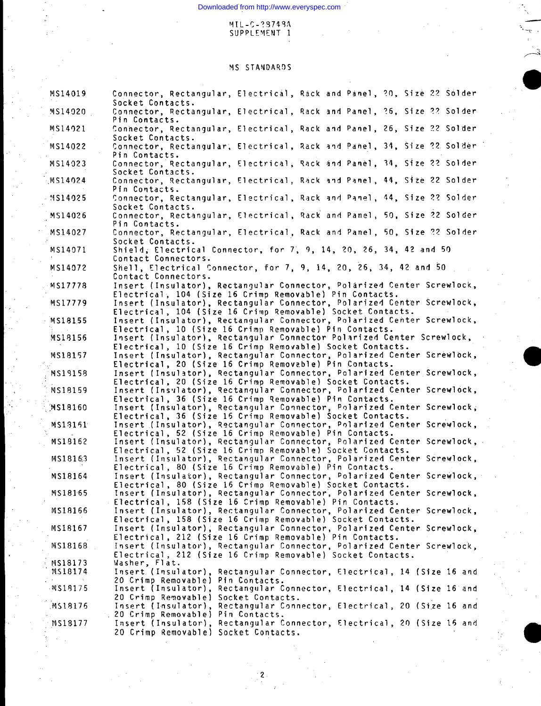$\mathbf{r}_{\mathbf{v} \rightarrow \mathbf{p}}$  ,

**.a**

**9**

# **Supplement 1**

## **?4S STANDA!2!)S**

| MS14019            | Connector, Rectangular, Electrical, Rack and Panel, 20, Size 22 Solder<br>Socket Contacts.                                           |    |
|--------------------|--------------------------------------------------------------------------------------------------------------------------------------|----|
| MS14020            | Connector, Rectangular, Electrical, Rack and Panel, 26, Size 22 Solder<br>Pin Contacts.                                              |    |
| MS14921            | Connector, Rectangular, Electrical, Rack and Panel, 26, Size 22 Solder<br>Socket Contacts.                                           |    |
| MS14022            | Connector, Rectangular, Electrical, Rack and Panel, 34, Size 22 Solder<br>Pin Contacts.                                              |    |
| MS14023            | Connector, Rectangular, Electrical, Rack and Panel, 34, Size 22 Solder<br>Socket Contacts.                                           |    |
| MS14024            | Connector, Rectangular, Electrical, Rack and Panel, 44, Size 22 Solder<br>Pin Contacts.                                              |    |
| MS14025            | Connector, Rectangular, Electrical, Rack and Panel, 44, Size 22 Solder<br>Socket Contacts.                                           |    |
| MS14026            | Connector, Rectangular, Electrical, Rack and Panel, 50, Size 22 Solder<br>Pin Contacts.                                              |    |
| MS14027            | Connector, Rectangular, Electrical, Rack and Panel, 50, Size 22 Solder<br>Socket Contacts.                                           |    |
| MS14071            | Shield, Electrical Connector, for 7, 9, 14, 20, 26, 34, 42 and 50<br>Contact Connectors.                                             |    |
| MS14072            | Shell, Electrical Connector, for 7, 9, 14, 20, 26, 34, 42 and 50<br>Contact Connectors.                                              |    |
| MS17778            | Insert (Insulator), Rectangular Connector, Polarized Center Screwlock,<br>Electrical, 104 (Size 16 Crimp Removable) Pin Contacts.    |    |
| MS17779            | Insert (Insulator), Rectangular Connector, Polarized Center Screwlock,<br>Electrical, 104 (Size 16 Crimp Removable) Socket Contacts. |    |
| MS18155            | Insert (Insulator), Rectangular Connector, Polarized Center Screwlock,<br>Electrical, 10 (Size 16 Crimp Removable) Pin Contacts.     |    |
| MS18156            | Insert (Insulator), Rectangular Connector Polarized Center Screwlock,<br>Electrical, 10 (Size 16 Crimp Removable) Socket Contacts.   |    |
| MS18157            | Insert (Insulator), Rectangular Connector, Polarized Center Screwlock,<br>Electrical, 20 (Size 16 Crimp Removable) Pin Contacts.     |    |
| MS19158            | Insert (Insulator), Rectangular Connector, Polarized Center Screwlock,<br>Electrical, 20 (Size 16 Crimp Removable) Socket Contacts.  |    |
| MS18159            | Insert (Insulator), Rectangular Connector, Polarized Center Screwlock,<br>Electrical, 36 (Size 16 Crimp Removable) Pin Contacts.     |    |
| MS18160            | Insert (Insulator), Rectangular Connector, Polarized Center Screwlock,<br>Electrical, 36 (Size 16 Crimp Removable) Socket Contacts.  |    |
| MS18161            | Insert (Insulator), Rectangular Connector, Polarized Center Screwlock,<br>Electrical, 52 (Size 16 Crimp Removable) Pin Contacts.     |    |
| MS18162            | Insert (Insulator), Rectangular Connector, Polarized Center Screwlock,<br>Electrical, 52 (Size 16 Crimp Removable) Socket Contacts.  |    |
| MS18163            | Insert (Insulator), Rectangular Connector, Polarized Center Screwlock,<br>Electrical, 80 (Size 16 Crimp Removable) Pin Contacts.     |    |
| MS18164            | Insert (Insulator), Rectangular Connector, Polarized Center Screwlock,<br>Electrical, 80 (Size 16 Crimp Removable) Socket Contacts.  |    |
| MS18165            | Insert (Insulator), Rectangular Connector, Polarized Center Screwlock,<br>Electrical, 158 (Size 16 Crimp Removable) Pin Contacts.    |    |
| MS18166            | Insert (Insulator), Rectangular Connector, Polarized Center Screwlock,<br>Electrical, 158 (Size 16 Crimp Removable) Socket Contacts. |    |
| MS18167            | Insert (Insulator), Rectangular Connector, Polarized Center Screwlock,<br>Electrical, 212 (Size 16 Crimp Removable) Pin Contacts.    |    |
| MS18168            | Insert (Insulator), Rectangular Connector, Polarized Center Screwlock,<br>Electrical, 212 (Size 16 Crimp Removable) Socket Contacts. |    |
| MS18173<br>MS18174 | Washer, Flat.<br>Insert (Insulator), Rectangular Connector, Electrical, 14 (Size 16 and                                              |    |
| MS18175            | 20 Crimp Removable) Pin Contacts.<br>Insert (Insulator), Rectangular Connector, Electrical, 14 (Size 16 and                          |    |
| MS18176            | 20 Crimp Removable) Socket Contacts.<br>Insert (Insulator), Rectangular Connector, Electrical, 20 (Size 16 and                       |    |
| MS18177            | 20 Crimp Removable) Pin Contacts.<br>Insert (Insulator), Rectangular Connector, Electrical, 20 (Size 15 and                          |    |
|                    | 20 Crimp Removable) Socket Contacts.                                                                                                 | 17 |

**,2**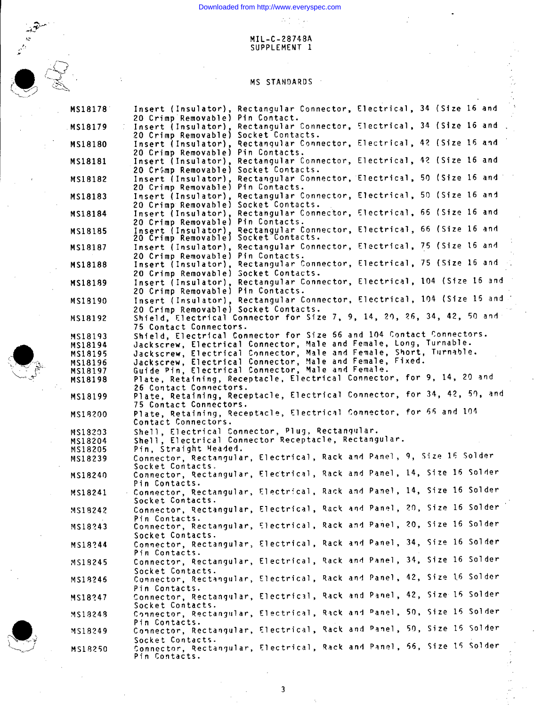## **MIL-C-28748A SUPPLEMENT 1**

 $\mathcal{I}_\text{eff}$  ,  $\mathcal{I}_\text{eff}$  ,  $\mathcal{I}_\text{eff}$ 



## **MS STANDARDS .,**

| MS18178 | Insert (Insulator), Rectangular Connector, Electrical, 34 (Size 16 and                                         |
|---------|----------------------------------------------------------------------------------------------------------------|
|         | 20 Crimp Removable) Pin Contact.                                                                               |
| MS18179 | Insert (Insulator), Rectangular Connector, Electrical, 34 (Size 16 and                                         |
|         | 20 Crimp Removable) Socket Contacts.<br>Insert (Insulator), Rectangular Connector, Electrical, 42 (Size 16 and |
| MS18180 |                                                                                                                |
|         | 20 Crimp Removable) Pin Contacts.<br>Insert (Insulator), Rectangular Connector, Electrical, 42 (Size 16 and    |
| MS18181 | 20 Crimp Removable) Socket Contacts.                                                                           |
|         | Insert (Insulator), Rectangular Connector, Electrical, 50 (Size 16 and                                         |
| MS18182 |                                                                                                                |
|         | 20 Crimp Removable) Pin Contacts.<br>Insert (Insulator), Rectangular Connector, Electrical, 50 (Size 16 and    |
| MS18183 | 20 Crimp Removable) Socket Contacts.                                                                           |
|         | Insert (Insulator), Rectangular Connector, Electrical, 66 (Size 16 and                                         |
| MS18184 | 20 Crimp Removable) Pin Contacts.                                                                              |
| MS18185 | Insert (Insulator), Rectangular Connector, Electrical, 66 (Size 16 and                                         |
|         | 20 Crimp Removable) Socket Contacts.                                                                           |
| MS18187 | Insert (Insulator), Rectangular Connector, Electrical, 75 (Size 16 and                                         |
|         | 20 Crimp Removable) Pin Contacts.                                                                              |
| MS18188 | Insert (Insulator), Rectangular Connector, Electrical, 75 (Size 16 and                                         |
|         | 20 Crimp Removable) Socket Contacts.                                                                           |
| MS18189 | Insert (Insulator), Rectangular Connector, Electrical, 104 (Size 16 and                                        |
|         | 20 Crimp Removable) Pin Contacts.                                                                              |
| MS18190 | Insert (Insulator), Rectangular Connector, Electrical, 104 (Size 15 and                                        |
|         | 20 Crimp Removable) Socket Contacts.                                                                           |
| MS18192 | Shield, Electrical Connector for Size 7, 9, 14, 20, 26, 34, 42, 50 and                                         |
|         | 75 Contact Connectors.                                                                                         |
| MS18193 | Shield, Electrical Connector for Size 56 and 104 Contact Connectors.                                           |
| MS18194 | Jackscrew, Electrical Connector, Male and Female, Long, Turnable.                                              |
| MS18195 | Jackscrew, Electrical Connector, Male and Female, Short, Turnable.                                             |
| MS18196 | Jackscrew, Electrical Connector, Male and Female, Fixed.                                                       |
| MS18197 | Guide Pin, Electrical Connector, Male and Female.                                                              |
| MS18198 | Plate, Retaining, Receptacle, Electrical Connector, for 9, 14, 20 and                                          |
|         | 26 Contact Connectors.                                                                                         |
| MS18199 | Plate, Retaining, Receptacle, Electrical Connector, for 34, 42, 50, and                                        |
|         | 75 Contact Connectors.                                                                                         |
| MS18200 | Plate, Retaining, Receptacle, Electrical Connector, for 55 and 104                                             |
|         | Contact Connectors.                                                                                            |
| MS18203 | Shell, Electrical Connector, Plug, Rectangular.                                                                |
| MS18204 | Shell, Electrical Connector Receptacle, Rectangular.                                                           |
| MS18205 | Pin, Straight Headed.                                                                                          |
| MS18239 | Connector, Rectangular, Electrical, Rack and Panel, 9, Size 16 Solder                                          |
|         | Socket Contacts.                                                                                               |
| MS18240 | Connector, Rectangular, Electrical, Rack and Panel, 14, Size 16 Solder                                         |
|         | Pin Contacts.                                                                                                  |
| MS18241 | - Connector, Rectangular, Electrical, Rack and Panel, 14, Size 16 Solder                                       |
|         | Socket Contacts.                                                                                               |
| MS18242 | Connector, Rectangular, Electrical, Rack and Panel, 20, Size 16 Solder                                         |
|         | Pin Contacts.                                                                                                  |
| MS18243 | Connector, Rectangular, Electrical, Rack and Panel, 20, Size 16 Solder                                         |
|         | Socket Contacts.                                                                                               |
| MS18244 | Connector, Rectangular, Electrical, Rack and Panel, 34, Size 16 Solder                                         |
|         | Pin Contacts.                                                                                                  |
| MS18245 | Connector, Rectangular, Electrical, Rack and Panel, 34, Size 16 Solder                                         |
|         | Socket Contacts.                                                                                               |
| MS18246 | Connector, Rectangular, Electrical, Rack and Panel, 42, Size 16 Solder                                         |
|         | Pin Contacts.                                                                                                  |
| MS18247 | Connector, Rectangular, Electrical, Rack and Panel, 42, Size 15 Solder                                         |
|         | Socket Contacts.                                                                                               |
| MS18248 | Connector, Rectangular, Electrical, Rack and Panel, 50, Size 15 Solder                                         |
|         | Pin Contacts.                                                                                                  |
| MS18249 | Connector, Rectangular, Electrical, Rack and Panel, 50, Size 15 Solder                                         |
|         | Socket Contacts.                                                                                               |
| MS18250 | Connector, Rectangular, Electrical, Rack and Panel, 56, Size 15 Solder                                         |
|         | Pin Contacts.                                                                                                  |



**3**